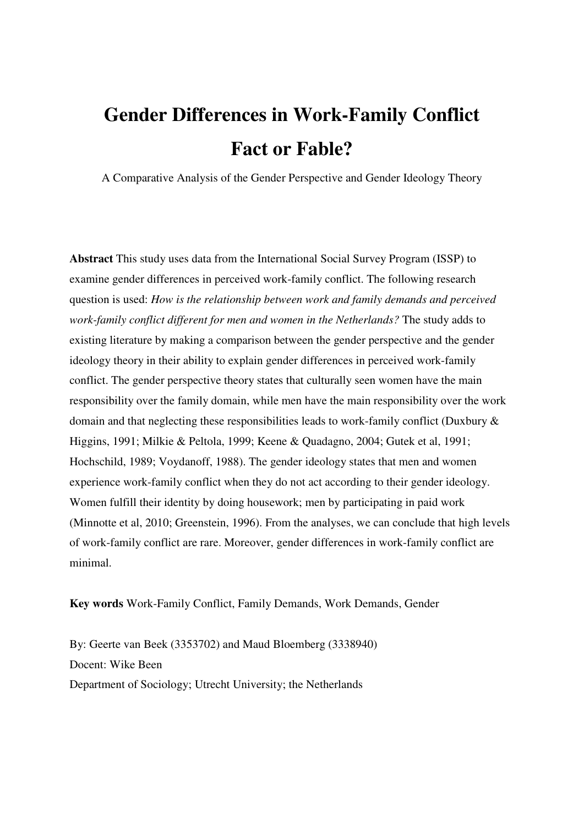# **Gender Differences in Work-Family Conflict Fact or Fable?**

A Comparative Analysis of the Gender Perspective and Gender Ideology Theory

**Abstract** This study uses data from the International Social Survey Program (ISSP) to examine gender differences in perceived work-family conflict. The following research question is used: *How is the relationship between work and family demands and perceived work-family conflict different for men and women in the Netherlands?* The study adds to existing literature by making a comparison between the gender perspective and the gender ideology theory in their ability to explain gender differences in perceived work-family conflict. The gender perspective theory states that culturally seen women have the main responsibility over the family domain, while men have the main responsibility over the work domain and that neglecting these responsibilities leads to work-family conflict (Duxbury & Higgins, 1991; Milkie & Peltola, 1999; Keene & Quadagno, 2004; Gutek et al, 1991; Hochschild, 1989; Voydanoff, 1988). The gender ideology states that men and women experience work-family conflict when they do not act according to their gender ideology. Women fulfill their identity by doing housework; men by participating in paid work (Minnotte et al, 2010; Greenstein, 1996). From the analyses, we can conclude that high levels of work-family conflict are rare. Moreover, gender differences in work-family conflict are minimal.

**Key words** Work-Family Conflict, Family Demands, Work Demands, Gender

By: Geerte van Beek (3353702) and Maud Bloemberg (3338940) Docent: Wike Been Department of Sociology; Utrecht University; the Netherlands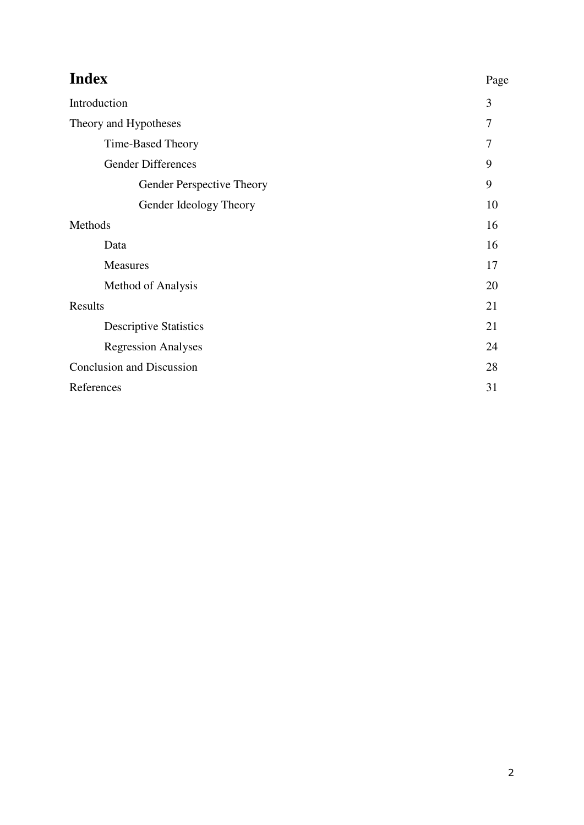| <b>Index</b>                     | Page |  |  |
|----------------------------------|------|--|--|
| Introduction                     | 3    |  |  |
| Theory and Hypotheses            | 7    |  |  |
| <b>Time-Based Theory</b>         | 7    |  |  |
| <b>Gender Differences</b>        | 9    |  |  |
| Gender Perspective Theory        | 9    |  |  |
| Gender Ideology Theory           | 10   |  |  |
| Methods                          | 16   |  |  |
| Data                             | 16   |  |  |
| <b>Measures</b>                  | 17   |  |  |
| Method of Analysis               | 20   |  |  |
| Results                          |      |  |  |
| <b>Descriptive Statistics</b>    | 21   |  |  |
| <b>Regression Analyses</b>       | 24   |  |  |
| <b>Conclusion and Discussion</b> |      |  |  |
| References                       |      |  |  |
|                                  |      |  |  |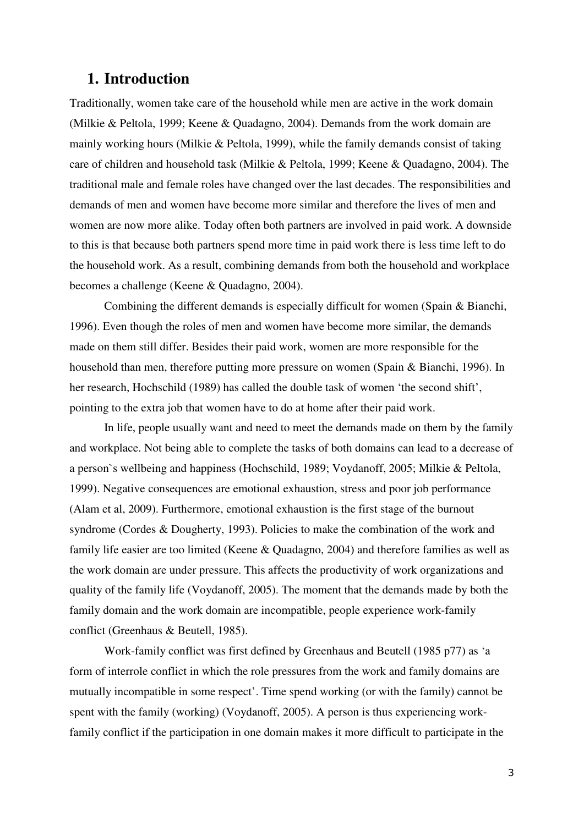# **1. Introduction**

Traditionally, women take care of the household while men are active in the work domain (Milkie & Peltola, 1999; Keene & Quadagno, 2004). Demands from the work domain are mainly working hours (Milkie & Peltola, 1999), while the family demands consist of taking care of children and household task (Milkie & Peltola, 1999; Keene & Quadagno, 2004). The traditional male and female roles have changed over the last decades. The responsibilities and demands of men and women have become more similar and therefore the lives of men and women are now more alike. Today often both partners are involved in paid work. A downside to this is that because both partners spend more time in paid work there is less time left to do the household work. As a result, combining demands from both the household and workplace becomes a challenge (Keene & Quadagno, 2004).

Combining the different demands is especially difficult for women (Spain & Bianchi, 1996). Even though the roles of men and women have become more similar, the demands made on them still differ. Besides their paid work, women are more responsible for the household than men, therefore putting more pressure on women (Spain & Bianchi, 1996). In her research, Hochschild (1989) has called the double task of women 'the second shift', pointing to the extra job that women have to do at home after their paid work.

In life, people usually want and need to meet the demands made on them by the family and workplace. Not being able to complete the tasks of both domains can lead to a decrease of a person`s wellbeing and happiness (Hochschild, 1989; Voydanoff, 2005; Milkie & Peltola, 1999). Negative consequences are emotional exhaustion, stress and poor job performance (Alam et al, 2009). Furthermore, emotional exhaustion is the first stage of the burnout syndrome (Cordes & Dougherty, 1993). Policies to make the combination of the work and family life easier are too limited (Keene & Quadagno, 2004) and therefore families as well as the work domain are under pressure. This affects the productivity of work organizations and quality of the family life (Voydanoff, 2005). The moment that the demands made by both the family domain and the work domain are incompatible, people experience work-family conflict (Greenhaus & Beutell, 1985).

Work-family conflict was first defined by Greenhaus and Beutell (1985 p77) as 'a form of interrole conflict in which the role pressures from the work and family domains are mutually incompatible in some respect'. Time spend working (or with the family) cannot be spent with the family (working) (Voydanoff, 2005). A person is thus experiencing workfamily conflict if the participation in one domain makes it more difficult to participate in the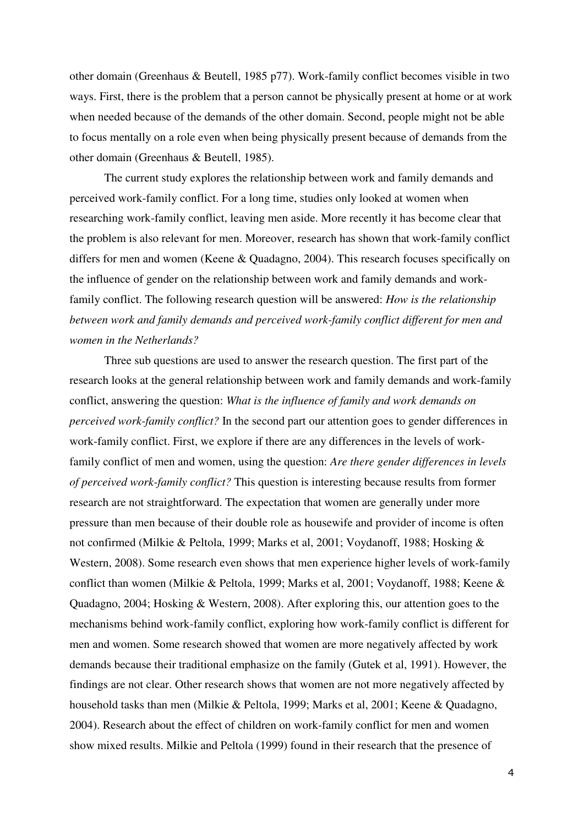other domain (Greenhaus & Beutell, 1985 p77). Work-family conflict becomes visible in two ways. First, there is the problem that a person cannot be physically present at home or at work when needed because of the demands of the other domain. Second, people might not be able to focus mentally on a role even when being physically present because of demands from the other domain (Greenhaus & Beutell, 1985).

The current study explores the relationship between work and family demands and perceived work-family conflict. For a long time, studies only looked at women when researching work-family conflict, leaving men aside. More recently it has become clear that the problem is also relevant for men. Moreover, research has shown that work-family conflict differs for men and women (Keene & Quadagno, 2004). This research focuses specifically on the influence of gender on the relationship between work and family demands and workfamily conflict. The following research question will be answered: *How is the relationship between work and family demands and perceived work-family conflict different for men and women in the Netherlands?* 

Three sub questions are used to answer the research question. The first part of the research looks at the general relationship between work and family demands and work-family conflict, answering the question: *What is the influence of family and work demands on perceived work-family conflict?* In the second part our attention goes to gender differences in work-family conflict. First, we explore if there are any differences in the levels of workfamily conflict of men and women, using the question: *Are there gender differences in levels of perceived work-family conflict?* This question is interesting because results from former research are not straightforward. The expectation that women are generally under more pressure than men because of their double role as housewife and provider of income is often not confirmed (Milkie & Peltola, 1999; Marks et al, 2001; Voydanoff, 1988; Hosking & Western, 2008). Some research even shows that men experience higher levels of work-family conflict than women (Milkie & Peltola, 1999; Marks et al, 2001; Voydanoff, 1988; Keene & Quadagno, 2004; Hosking & Western, 2008). After exploring this, our attention goes to the mechanisms behind work-family conflict, exploring how work-family conflict is different for men and women. Some research showed that women are more negatively affected by work demands because their traditional emphasize on the family (Gutek et al, 1991). However, the findings are not clear. Other research shows that women are not more negatively affected by household tasks than men (Milkie & Peltola, 1999; Marks et al, 2001; Keene & Quadagno, 2004). Research about the effect of children on work-family conflict for men and women show mixed results. Milkie and Peltola (1999) found in their research that the presence of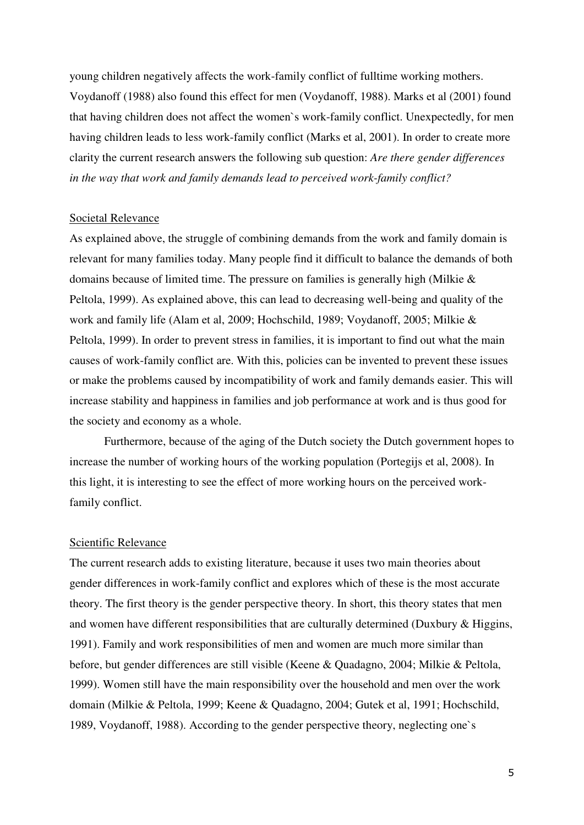young children negatively affects the work-family conflict of fulltime working mothers. Voydanoff (1988) also found this effect for men (Voydanoff, 1988). Marks et al (2001) found that having children does not affect the women`s work-family conflict. Unexpectedly, for men having children leads to less work-family conflict (Marks et al, 2001). In order to create more clarity the current research answers the following sub question: *Are there gender differences in the way that work and family demands lead to perceived work-family conflict?* 

#### Societal Relevance

As explained above, the struggle of combining demands from the work and family domain is relevant for many families today. Many people find it difficult to balance the demands of both domains because of limited time. The pressure on families is generally high (Milkie & Peltola, 1999). As explained above, this can lead to decreasing well-being and quality of the work and family life (Alam et al, 2009; Hochschild, 1989; Voydanoff, 2005; Milkie & Peltola, 1999). In order to prevent stress in families, it is important to find out what the main causes of work-family conflict are. With this, policies can be invented to prevent these issues or make the problems caused by incompatibility of work and family demands easier. This will increase stability and happiness in families and job performance at work and is thus good for the society and economy as a whole.

Furthermore, because of the aging of the Dutch society the Dutch government hopes to increase the number of working hours of the working population (Portegijs et al, 2008). In this light, it is interesting to see the effect of more working hours on the perceived workfamily conflict.

#### Scientific Relevance

The current research adds to existing literature, because it uses two main theories about gender differences in work-family conflict and explores which of these is the most accurate theory. The first theory is the gender perspective theory. In short, this theory states that men and women have different responsibilities that are culturally determined (Duxbury & Higgins, 1991). Family and work responsibilities of men and women are much more similar than before, but gender differences are still visible (Keene & Quadagno, 2004; Milkie & Peltola, 1999). Women still have the main responsibility over the household and men over the work domain (Milkie & Peltola, 1999; Keene & Quadagno, 2004; Gutek et al, 1991; Hochschild, 1989, Voydanoff, 1988). According to the gender perspective theory, neglecting one`s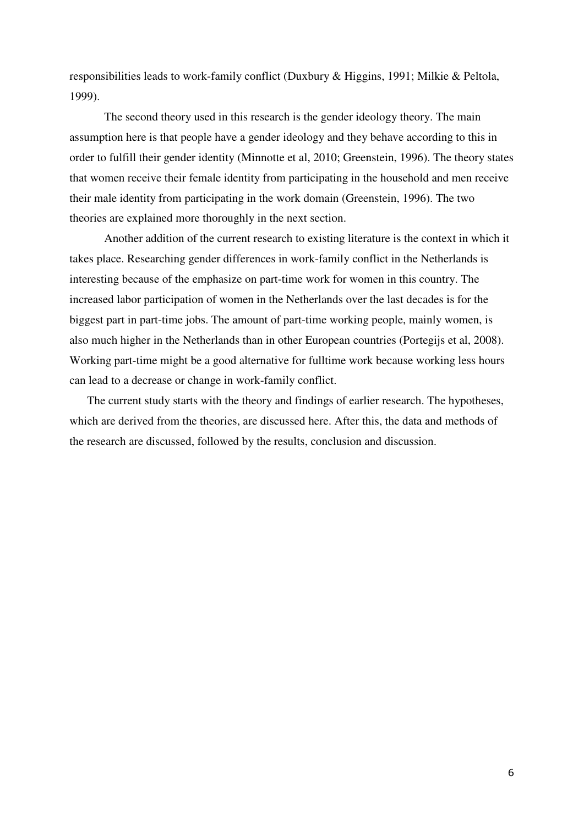responsibilities leads to work-family conflict (Duxbury & Higgins, 1991; Milkie & Peltola, 1999).

The second theory used in this research is the gender ideology theory. The main assumption here is that people have a gender ideology and they behave according to this in order to fulfill their gender identity (Minnotte et al, 2010; Greenstein, 1996). The theory states that women receive their female identity from participating in the household and men receive their male identity from participating in the work domain (Greenstein, 1996). The two theories are explained more thoroughly in the next section.

 Another addition of the current research to existing literature is the context in which it takes place. Researching gender differences in work-family conflict in the Netherlands is interesting because of the emphasize on part-time work for women in this country. The increased labor participation of women in the Netherlands over the last decades is for the biggest part in part-time jobs. The amount of part-time working people, mainly women, is also much higher in the Netherlands than in other European countries (Portegijs et al, 2008). Working part-time might be a good alternative for fulltime work because working less hours can lead to a decrease or change in work-family conflict.

The current study starts with the theory and findings of earlier research. The hypotheses, which are derived from the theories, are discussed here. After this, the data and methods of the research are discussed, followed by the results, conclusion and discussion.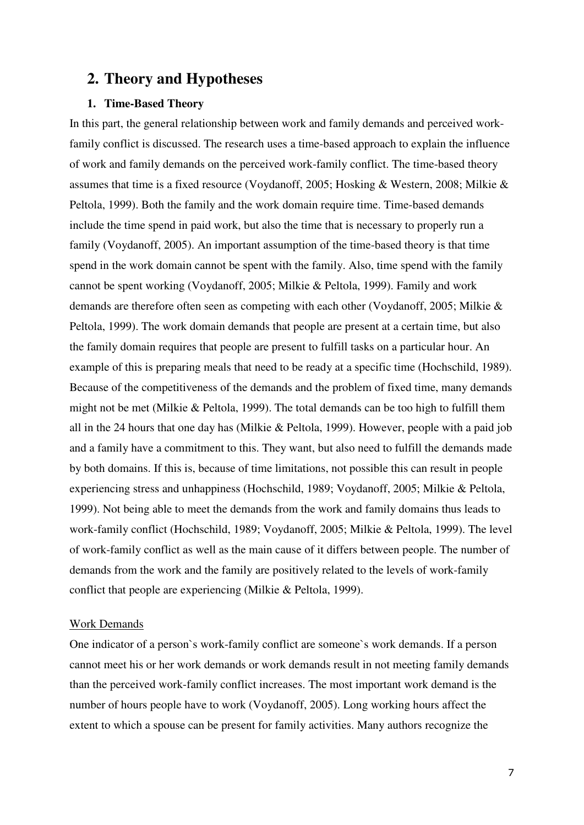# **2. Theory and Hypotheses**

# **1. Time-Based Theory**

In this part, the general relationship between work and family demands and perceived workfamily conflict is discussed. The research uses a time-based approach to explain the influence of work and family demands on the perceived work-family conflict. The time-based theory assumes that time is a fixed resource (Voydanoff, 2005; Hosking & Western, 2008; Milkie & Peltola, 1999). Both the family and the work domain require time. Time-based demands include the time spend in paid work, but also the time that is necessary to properly run a family (Voydanoff, 2005). An important assumption of the time-based theory is that time spend in the work domain cannot be spent with the family. Also, time spend with the family cannot be spent working (Voydanoff, 2005; Milkie & Peltola, 1999). Family and work demands are therefore often seen as competing with each other (Voydanoff, 2005; Milkie & Peltola, 1999). The work domain demands that people are present at a certain time, but also the family domain requires that people are present to fulfill tasks on a particular hour. An example of this is preparing meals that need to be ready at a specific time (Hochschild, 1989). Because of the competitiveness of the demands and the problem of fixed time, many demands might not be met (Milkie & Peltola, 1999). The total demands can be too high to fulfill them all in the 24 hours that one day has (Milkie & Peltola, 1999). However, people with a paid job and a family have a commitment to this. They want, but also need to fulfill the demands made by both domains. If this is, because of time limitations, not possible this can result in people experiencing stress and unhappiness (Hochschild, 1989; Voydanoff, 2005; Milkie & Peltola, 1999). Not being able to meet the demands from the work and family domains thus leads to work-family conflict (Hochschild, 1989; Voydanoff, 2005; Milkie & Peltola, 1999). The level of work-family conflict as well as the main cause of it differs between people. The number of demands from the work and the family are positively related to the levels of work-family conflict that people are experiencing (Milkie & Peltola, 1999).

#### Work Demands

One indicator of a person`s work-family conflict are someone`s work demands. If a person cannot meet his or her work demands or work demands result in not meeting family demands than the perceived work-family conflict increases. The most important work demand is the number of hours people have to work (Voydanoff, 2005). Long working hours affect the extent to which a spouse can be present for family activities. Many authors recognize the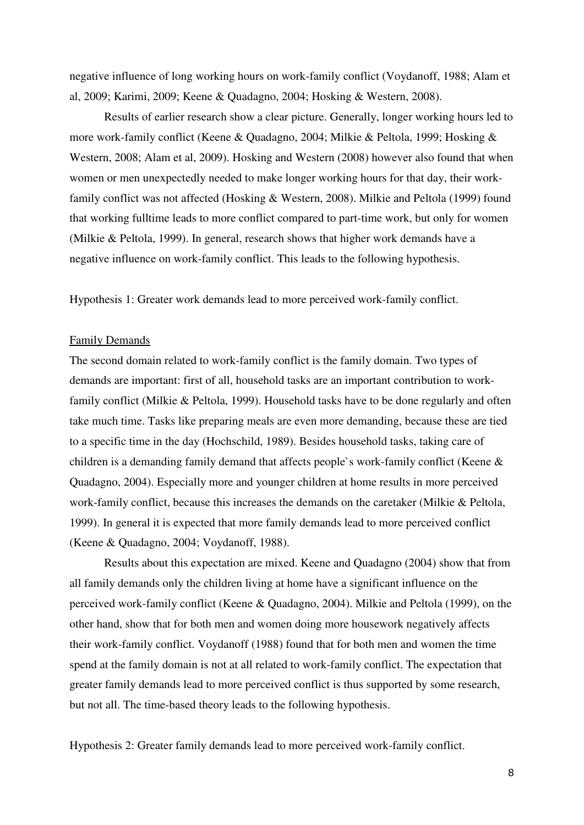negative influence of long working hours on work-family conflict (Voydanoff, 1988; Alam et al, 2009; Karimi, 2009; Keene & Quadagno, 2004; Hosking & Western, 2008).

Results of earlier research show a clear picture. Generally, longer working hours led to more work-family conflict (Keene & Quadagno, 2004; Milkie & Peltola, 1999; Hosking & Western, 2008; Alam et al, 2009). Hosking and Western (2008) however also found that when women or men unexpectedly needed to make longer working hours for that day, their workfamily conflict was not affected (Hosking & Western, 2008). Milkie and Peltola (1999) found that working fulltime leads to more conflict compared to part-time work, but only for women (Milkie & Peltola, 1999). In general, research shows that higher work demands have a negative influence on work-family conflict. This leads to the following hypothesis.

Hypothesis 1: Greater work demands lead to more perceived work-family conflict.

#### Family Demands

The second domain related to work-family conflict is the family domain. Two types of demands are important: first of all, household tasks are an important contribution to workfamily conflict (Milkie & Peltola, 1999). Household tasks have to be done regularly and often take much time. Tasks like preparing meals are even more demanding, because these are tied to a specific time in the day (Hochschild, 1989). Besides household tasks, taking care of children is a demanding family demand that affects people`s work-family conflict (Keene & Quadagno, 2004). Especially more and younger children at home results in more perceived work-family conflict, because this increases the demands on the caretaker (Milkie & Peltola, 1999). In general it is expected that more family demands lead to more perceived conflict (Keene & Quadagno, 2004; Voydanoff, 1988).

Results about this expectation are mixed. Keene and Quadagno (2004) show that from all family demands only the children living at home have a significant influence on the perceived work-family conflict (Keene & Quadagno, 2004). Milkie and Peltola (1999), on the other hand, show that for both men and women doing more housework negatively affects their work-family conflict. Voydanoff (1988) found that for both men and women the time spend at the family domain is not at all related to work-family conflict. The expectation that greater family demands lead to more perceived conflict is thus supported by some research, but not all. The time-based theory leads to the following hypothesis.

Hypothesis 2: Greater family demands lead to more perceived work-family conflict.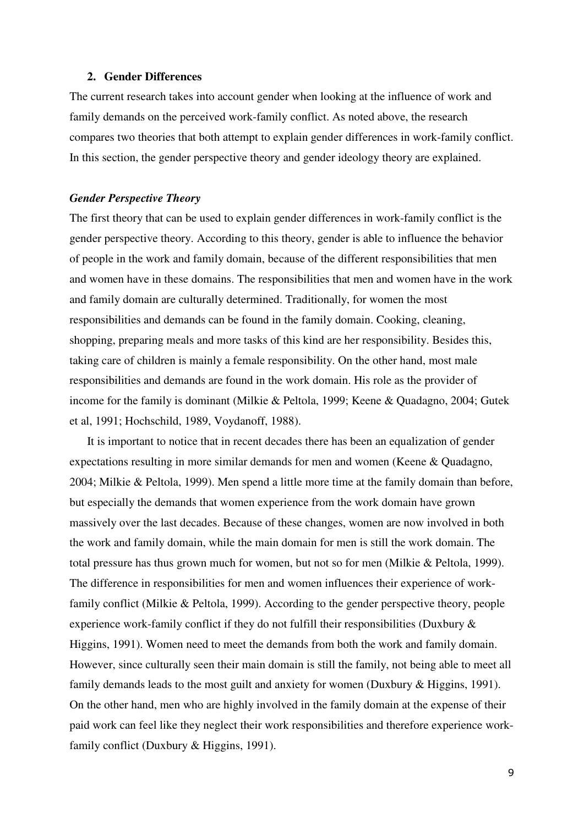#### **2. Gender Differences**

The current research takes into account gender when looking at the influence of work and family demands on the perceived work-family conflict. As noted above, the research compares two theories that both attempt to explain gender differences in work-family conflict. In this section, the gender perspective theory and gender ideology theory are explained.

#### *Gender Perspective Theory*

The first theory that can be used to explain gender differences in work-family conflict is the gender perspective theory. According to this theory, gender is able to influence the behavior of people in the work and family domain, because of the different responsibilities that men and women have in these domains. The responsibilities that men and women have in the work and family domain are culturally determined. Traditionally, for women the most responsibilities and demands can be found in the family domain. Cooking, cleaning, shopping, preparing meals and more tasks of this kind are her responsibility. Besides this, taking care of children is mainly a female responsibility. On the other hand, most male responsibilities and demands are found in the work domain. His role as the provider of income for the family is dominant (Milkie & Peltola, 1999; Keene & Quadagno, 2004; Gutek et al, 1991; Hochschild, 1989, Voydanoff, 1988).

It is important to notice that in recent decades there has been an equalization of gender expectations resulting in more similar demands for men and women (Keene & Quadagno, 2004; Milkie & Peltola, 1999). Men spend a little more time at the family domain than before, but especially the demands that women experience from the work domain have grown massively over the last decades. Because of these changes, women are now involved in both the work and family domain, while the main domain for men is still the work domain. The total pressure has thus grown much for women, but not so for men (Milkie & Peltola, 1999). The difference in responsibilities for men and women influences their experience of workfamily conflict (Milkie & Peltola, 1999). According to the gender perspective theory, people experience work-family conflict if they do not fulfill their responsibilities (Duxbury & Higgins, 1991). Women need to meet the demands from both the work and family domain. However, since culturally seen their main domain is still the family, not being able to meet all family demands leads to the most guilt and anxiety for women (Duxbury & Higgins, 1991). On the other hand, men who are highly involved in the family domain at the expense of their paid work can feel like they neglect their work responsibilities and therefore experience workfamily conflict (Duxbury & Higgins, 1991).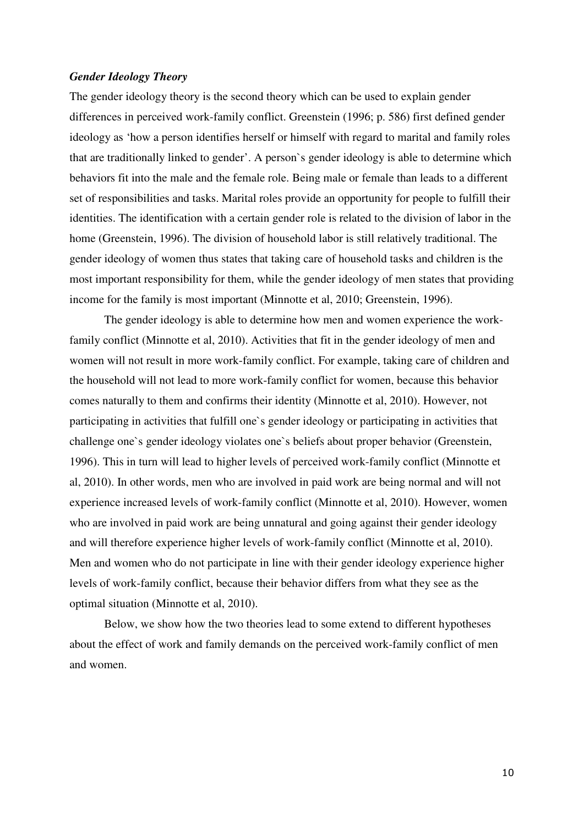## *Gender Ideology Theory*

The gender ideology theory is the second theory which can be used to explain gender differences in perceived work-family conflict. Greenstein (1996; p. 586) first defined gender ideology as 'how a person identifies herself or himself with regard to marital and family roles that are traditionally linked to gender'. A person`s gender ideology is able to determine which behaviors fit into the male and the female role. Being male or female than leads to a different set of responsibilities and tasks. Marital roles provide an opportunity for people to fulfill their identities. The identification with a certain gender role is related to the division of labor in the home (Greenstein, 1996). The division of household labor is still relatively traditional. The gender ideology of women thus states that taking care of household tasks and children is the most important responsibility for them, while the gender ideology of men states that providing income for the family is most important (Minnotte et al, 2010; Greenstein, 1996).

The gender ideology is able to determine how men and women experience the workfamily conflict (Minnotte et al, 2010). Activities that fit in the gender ideology of men and women will not result in more work-family conflict. For example, taking care of children and the household will not lead to more work-family conflict for women, because this behavior comes naturally to them and confirms their identity (Minnotte et al, 2010). However, not participating in activities that fulfill one`s gender ideology or participating in activities that challenge one`s gender ideology violates one`s beliefs about proper behavior (Greenstein, 1996). This in turn will lead to higher levels of perceived work-family conflict (Minnotte et al, 2010). In other words, men who are involved in paid work are being normal and will not experience increased levels of work-family conflict (Minnotte et al, 2010). However, women who are involved in paid work are being unnatural and going against their gender ideology and will therefore experience higher levels of work-family conflict (Minnotte et al, 2010). Men and women who do not participate in line with their gender ideology experience higher levels of work-family conflict, because their behavior differs from what they see as the optimal situation (Minnotte et al, 2010).

Below, we show how the two theories lead to some extend to different hypotheses about the effect of work and family demands on the perceived work-family conflict of men and women.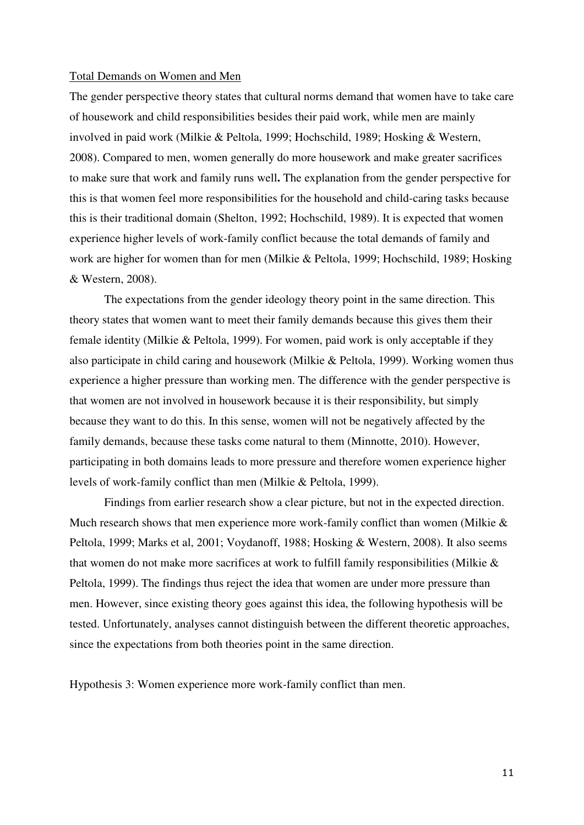#### Total Demands on Women and Men

The gender perspective theory states that cultural norms demand that women have to take care of housework and child responsibilities besides their paid work, while men are mainly involved in paid work (Milkie & Peltola, 1999; Hochschild, 1989; Hosking & Western, 2008). Compared to men, women generally do more housework and make greater sacrifices to make sure that work and family runs well**.** The explanation from the gender perspective for this is that women feel more responsibilities for the household and child-caring tasks because this is their traditional domain (Shelton, 1992; Hochschild, 1989). It is expected that women experience higher levels of work-family conflict because the total demands of family and work are higher for women than for men (Milkie & Peltola, 1999; Hochschild, 1989; Hosking & Western, 2008).

The expectations from the gender ideology theory point in the same direction. This theory states that women want to meet their family demands because this gives them their female identity (Milkie & Peltola, 1999). For women, paid work is only acceptable if they also participate in child caring and housework (Milkie & Peltola, 1999). Working women thus experience a higher pressure than working men. The difference with the gender perspective is that women are not involved in housework because it is their responsibility, but simply because they want to do this. In this sense, women will not be negatively affected by the family demands, because these tasks come natural to them (Minnotte, 2010). However, participating in both domains leads to more pressure and therefore women experience higher levels of work-family conflict than men (Milkie & Peltola, 1999).

 Findings from earlier research show a clear picture, but not in the expected direction. Much research shows that men experience more work-family conflict than women (Milkie  $\&$ Peltola, 1999; Marks et al, 2001; Voydanoff, 1988; Hosking & Western, 2008). It also seems that women do not make more sacrifices at work to fulfill family responsibilities (Milkie  $\&$ Peltola, 1999). The findings thus reject the idea that women are under more pressure than men. However, since existing theory goes against this idea, the following hypothesis will be tested. Unfortunately, analyses cannot distinguish between the different theoretic approaches, since the expectations from both theories point in the same direction.

Hypothesis 3: Women experience more work-family conflict than men.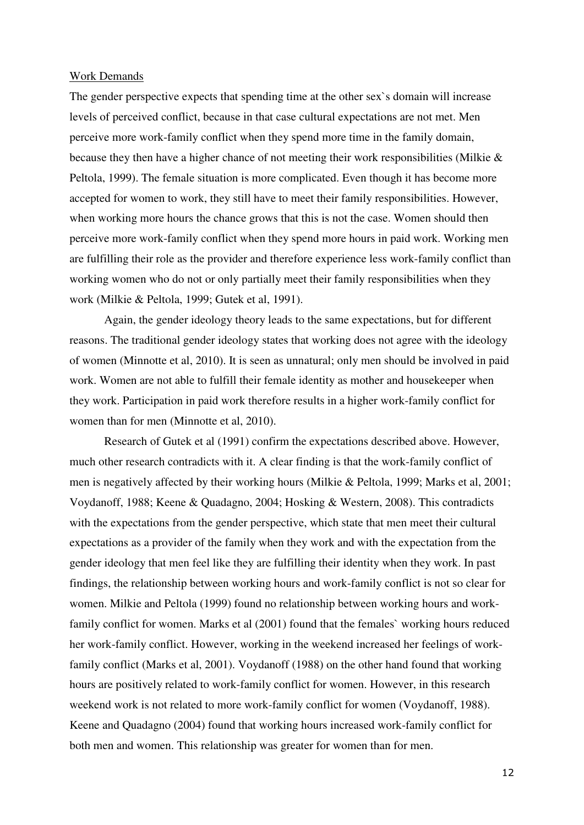## Work Demands

The gender perspective expects that spending time at the other sex`s domain will increase levels of perceived conflict, because in that case cultural expectations are not met. Men perceive more work-family conflict when they spend more time in the family domain, because they then have a higher chance of not meeting their work responsibilities (Milkie & Peltola, 1999). The female situation is more complicated. Even though it has become more accepted for women to work, they still have to meet their family responsibilities. However, when working more hours the chance grows that this is not the case. Women should then perceive more work-family conflict when they spend more hours in paid work. Working men are fulfilling their role as the provider and therefore experience less work-family conflict than working women who do not or only partially meet their family responsibilities when they work (Milkie & Peltola, 1999; Gutek et al, 1991).

Again, the gender ideology theory leads to the same expectations, but for different reasons. The traditional gender ideology states that working does not agree with the ideology of women (Minnotte et al, 2010). It is seen as unnatural; only men should be involved in paid work. Women are not able to fulfill their female identity as mother and housekeeper when they work. Participation in paid work therefore results in a higher work-family conflict for women than for men (Minnotte et al, 2010).

Research of Gutek et al (1991) confirm the expectations described above. However, much other research contradicts with it. A clear finding is that the work-family conflict of men is negatively affected by their working hours (Milkie & Peltola, 1999; Marks et al, 2001; Voydanoff, 1988; Keene & Quadagno, 2004; Hosking & Western, 2008). This contradicts with the expectations from the gender perspective, which state that men meet their cultural expectations as a provider of the family when they work and with the expectation from the gender ideology that men feel like they are fulfilling their identity when they work. In past findings, the relationship between working hours and work-family conflict is not so clear for women. Milkie and Peltola (1999) found no relationship between working hours and workfamily conflict for women. Marks et al (2001) found that the females` working hours reduced her work-family conflict. However, working in the weekend increased her feelings of workfamily conflict (Marks et al, 2001). Voydanoff (1988) on the other hand found that working hours are positively related to work-family conflict for women. However, in this research weekend work is not related to more work-family conflict for women (Voydanoff, 1988). Keene and Quadagno (2004) found that working hours increased work-family conflict for both men and women. This relationship was greater for women than for men.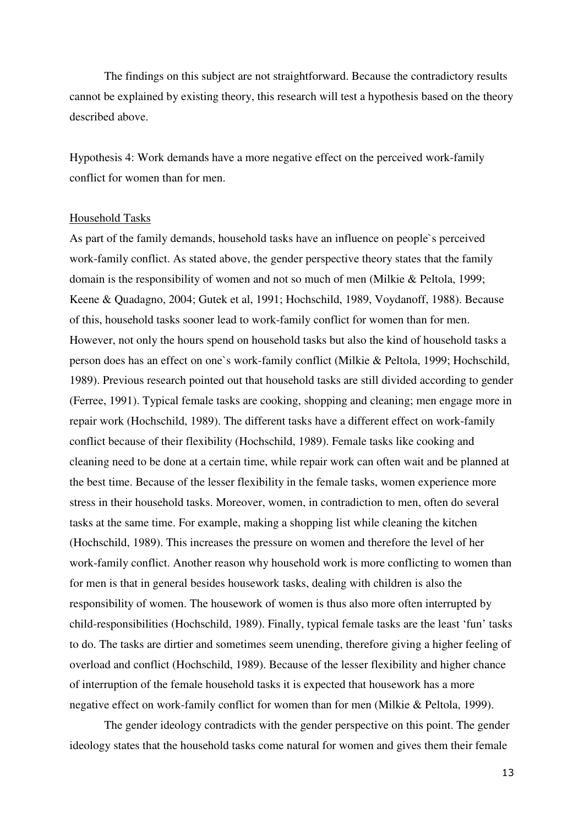The findings on this subject are not straightforward. Because the contradictory results cannot be explained by existing theory, this research will test a hypothesis based on the theory described above.

Hypothesis 4: Work demands have a more negative effect on the perceived work-family conflict for women than for men.

#### Household Tasks

As part of the family demands, household tasks have an influence on people`s perceived work-family conflict. As stated above, the gender perspective theory states that the family domain is the responsibility of women and not so much of men (Milkie & Peltola, 1999; Keene & Quadagno, 2004; Gutek et al, 1991; Hochschild, 1989, Voydanoff, 1988). Because of this, household tasks sooner lead to work-family conflict for women than for men. However, not only the hours spend on household tasks but also the kind of household tasks a person does has an effect on one`s work-family conflict (Milkie & Peltola, 1999; Hochschild, 1989). Previous research pointed out that household tasks are still divided according to gender (Ferree, 1991). Typical female tasks are cooking, shopping and cleaning; men engage more in repair work (Hochschild, 1989). The different tasks have a different effect on work-family conflict because of their flexibility (Hochschild, 1989). Female tasks like cooking and cleaning need to be done at a certain time, while repair work can often wait and be planned at the best time. Because of the lesser flexibility in the female tasks, women experience more stress in their household tasks. Moreover, women, in contradiction to men, often do several tasks at the same time. For example, making a shopping list while cleaning the kitchen (Hochschild, 1989). This increases the pressure on women and therefore the level of her work-family conflict. Another reason why household work is more conflicting to women than for men is that in general besides housework tasks, dealing with children is also the responsibility of women. The housework of women is thus also more often interrupted by child-responsibilities (Hochschild, 1989). Finally, typical female tasks are the least 'fun' tasks to do. The tasks are dirtier and sometimes seem unending, therefore giving a higher feeling of overload and conflict (Hochschild, 1989). Because of the lesser flexibility and higher chance of interruption of the female household tasks it is expected that housework has a more negative effect on work-family conflict for women than for men (Milkie & Peltola, 1999).

The gender ideology contradicts with the gender perspective on this point. The gender ideology states that the household tasks come natural for women and gives them their female

13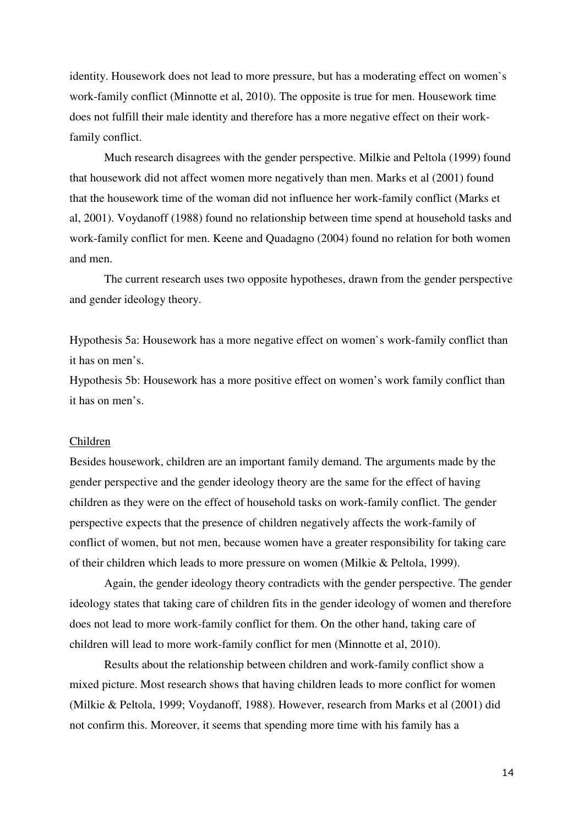identity. Housework does not lead to more pressure, but has a moderating effect on women`s work-family conflict (Minnotte et al, 2010). The opposite is true for men. Housework time does not fulfill their male identity and therefore has a more negative effect on their workfamily conflict.

Much research disagrees with the gender perspective. Milkie and Peltola (1999) found that housework did not affect women more negatively than men. Marks et al (2001) found that the housework time of the woman did not influence her work-family conflict (Marks et al, 2001). Voydanoff (1988) found no relationship between time spend at household tasks and work-family conflict for men. Keene and Quadagno (2004) found no relation for both women and men.

The current research uses two opposite hypotheses, drawn from the gender perspective and gender ideology theory.

Hypothesis 5a: Housework has a more negative effect on women`s work-family conflict than it has on men's.

Hypothesis 5b: Housework has a more positive effect on women's work family conflict than it has on men's.

## Children

Besides housework, children are an important family demand. The arguments made by the gender perspective and the gender ideology theory are the same for the effect of having children as they were on the effect of household tasks on work-family conflict. The gender perspective expects that the presence of children negatively affects the work-family of conflict of women, but not men, because women have a greater responsibility for taking care of their children which leads to more pressure on women (Milkie & Peltola, 1999).

 Again, the gender ideology theory contradicts with the gender perspective. The gender ideology states that taking care of children fits in the gender ideology of women and therefore does not lead to more work-family conflict for them. On the other hand, taking care of children will lead to more work-family conflict for men (Minnotte et al, 2010).

Results about the relationship between children and work-family conflict show a mixed picture. Most research shows that having children leads to more conflict for women (Milkie & Peltola, 1999; Voydanoff, 1988). However, research from Marks et al (2001) did not confirm this. Moreover, it seems that spending more time with his family has a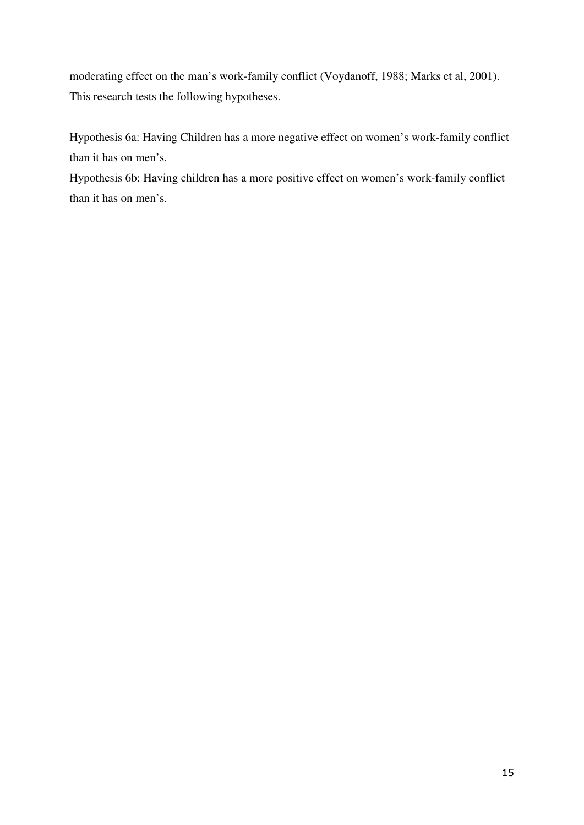moderating effect on the man's work-family conflict (Voydanoff, 1988; Marks et al, 2001). This research tests the following hypotheses.

Hypothesis 6a: Having Children has a more negative effect on women's work-family conflict than it has on men's.

Hypothesis 6b: Having children has a more positive effect on women's work-family conflict than it has on men's.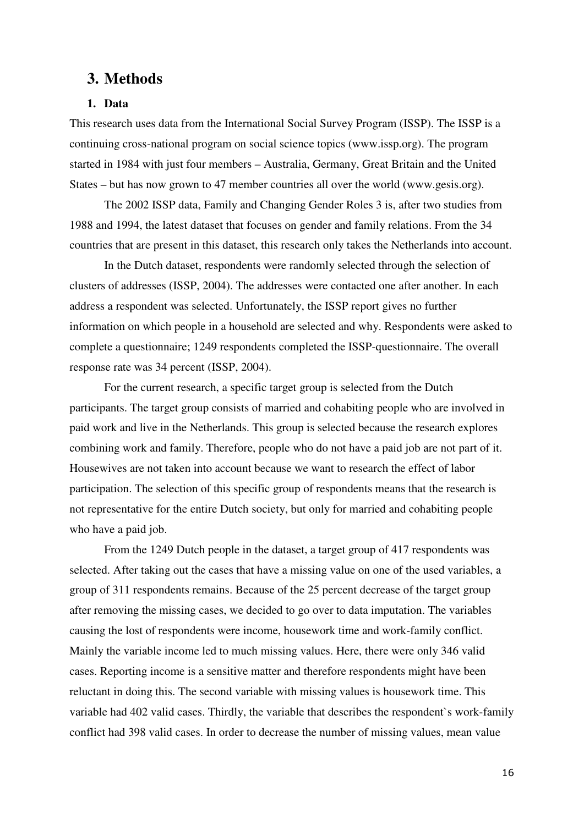# **3. Methods**

# **1. Data**

This research uses data from the International Social Survey Program (ISSP). The ISSP is a continuing cross-national program on social science topics (www.issp.org). The program started in 1984 with just four members – Australia, Germany, Great Britain and the United States – but has now grown to 47 member countries all over the world (www.gesis.org).

The 2002 ISSP data, Family and Changing Gender Roles 3 is, after two studies from 1988 and 1994, the latest dataset that focuses on gender and family relations. From the 34 countries that are present in this dataset, this research only takes the Netherlands into account.

In the Dutch dataset, respondents were randomly selected through the selection of clusters of addresses (ISSP, 2004). The addresses were contacted one after another. In each address a respondent was selected. Unfortunately, the ISSP report gives no further information on which people in a household are selected and why. Respondents were asked to complete a questionnaire; 1249 respondents completed the ISSP-questionnaire. The overall response rate was 34 percent (ISSP, 2004).

For the current research, a specific target group is selected from the Dutch participants. The target group consists of married and cohabiting people who are involved in paid work and live in the Netherlands. This group is selected because the research explores combining work and family. Therefore, people who do not have a paid job are not part of it. Housewives are not taken into account because we want to research the effect of labor participation. The selection of this specific group of respondents means that the research is not representative for the entire Dutch society, but only for married and cohabiting people who have a paid job.

From the 1249 Dutch people in the dataset, a target group of 417 respondents was selected. After taking out the cases that have a missing value on one of the used variables, a group of 311 respondents remains. Because of the 25 percent decrease of the target group after removing the missing cases, we decided to go over to data imputation. The variables causing the lost of respondents were income, housework time and work-family conflict. Mainly the variable income led to much missing values. Here, there were only 346 valid cases. Reporting income is a sensitive matter and therefore respondents might have been reluctant in doing this. The second variable with missing values is housework time. This variable had 402 valid cases. Thirdly, the variable that describes the respondent`s work-family conflict had 398 valid cases. In order to decrease the number of missing values, mean value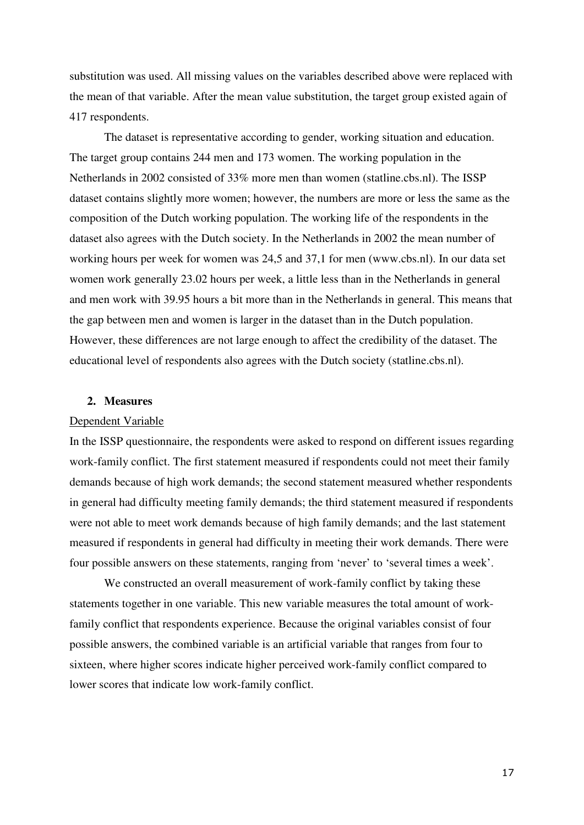substitution was used. All missing values on the variables described above were replaced with the mean of that variable. After the mean value substitution, the target group existed again of 417 respondents.

The dataset is representative according to gender, working situation and education. The target group contains 244 men and 173 women. The working population in the Netherlands in 2002 consisted of 33% more men than women (statline.cbs.nl). The ISSP dataset contains slightly more women; however, the numbers are more or less the same as the composition of the Dutch working population. The working life of the respondents in the dataset also agrees with the Dutch society. In the Netherlands in 2002 the mean number of working hours per week for women was 24,5 and 37,1 for men (www.cbs.nl). In our data set women work generally 23.02 hours per week, a little less than in the Netherlands in general and men work with 39.95 hours a bit more than in the Netherlands in general. This means that the gap between men and women is larger in the dataset than in the Dutch population. However, these differences are not large enough to affect the credibility of the dataset. The educational level of respondents also agrees with the Dutch society (statline.cbs.nl).

#### **2. Measures**

#### Dependent Variable

In the ISSP questionnaire, the respondents were asked to respond on different issues regarding work-family conflict. The first statement measured if respondents could not meet their family demands because of high work demands; the second statement measured whether respondents in general had difficulty meeting family demands; the third statement measured if respondents were not able to meet work demands because of high family demands; and the last statement measured if respondents in general had difficulty in meeting their work demands. There were four possible answers on these statements, ranging from 'never' to 'several times a week'.

We constructed an overall measurement of work-family conflict by taking these statements together in one variable. This new variable measures the total amount of workfamily conflict that respondents experience. Because the original variables consist of four possible answers, the combined variable is an artificial variable that ranges from four to sixteen, where higher scores indicate higher perceived work-family conflict compared to lower scores that indicate low work-family conflict.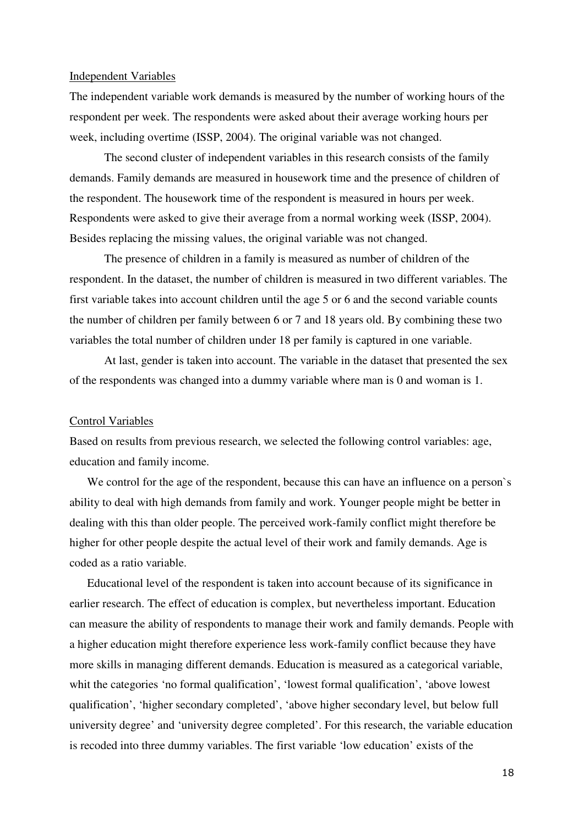#### Independent Variables

The independent variable work demands is measured by the number of working hours of the respondent per week. The respondents were asked about their average working hours per week, including overtime (ISSP, 2004). The original variable was not changed.

The second cluster of independent variables in this research consists of the family demands. Family demands are measured in housework time and the presence of children of the respondent. The housework time of the respondent is measured in hours per week. Respondents were asked to give their average from a normal working week (ISSP, 2004). Besides replacing the missing values, the original variable was not changed.

The presence of children in a family is measured as number of children of the respondent. In the dataset, the number of children is measured in two different variables. The first variable takes into account children until the age 5 or 6 and the second variable counts the number of children per family between 6 or 7 and 18 years old. By combining these two variables the total number of children under 18 per family is captured in one variable.

 At last, gender is taken into account. The variable in the dataset that presented the sex of the respondents was changed into a dummy variable where man is 0 and woman is 1.

#### Control Variables

Based on results from previous research, we selected the following control variables: age, education and family income.

We control for the age of the respondent, because this can have an influence on a person's ability to deal with high demands from family and work. Younger people might be better in dealing with this than older people. The perceived work-family conflict might therefore be higher for other people despite the actual level of their work and family demands. Age is coded as a ratio variable.

Educational level of the respondent is taken into account because of its significance in earlier research. The effect of education is complex, but nevertheless important. Education can measure the ability of respondents to manage their work and family demands. People with a higher education might therefore experience less work-family conflict because they have more skills in managing different demands. Education is measured as a categorical variable, whit the categories 'no formal qualification', 'lowest formal qualification', 'above lowest qualification', 'higher secondary completed', 'above higher secondary level, but below full university degree' and 'university degree completed'. For this research, the variable education is recoded into three dummy variables. The first variable 'low education' exists of the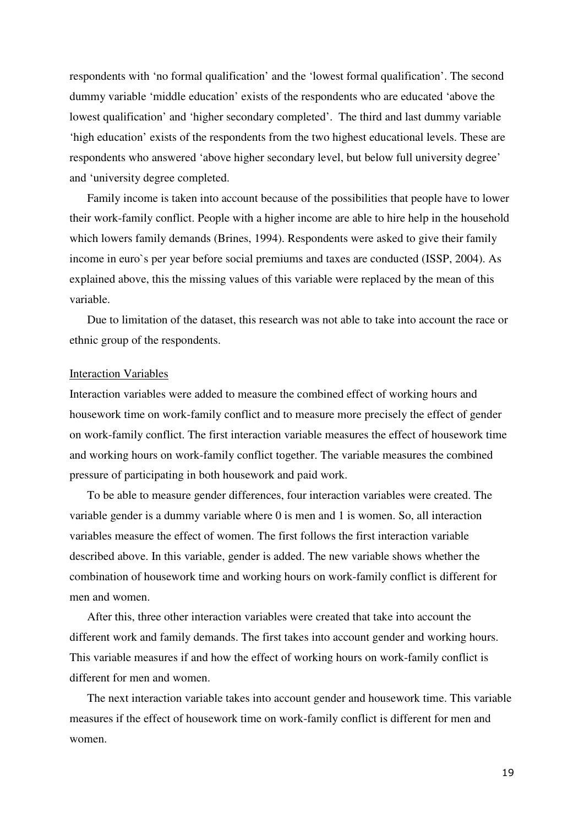respondents with 'no formal qualification' and the 'lowest formal qualification'. The second dummy variable 'middle education' exists of the respondents who are educated 'above the lowest qualification' and 'higher secondary completed'. The third and last dummy variable 'high education' exists of the respondents from the two highest educational levels. These are respondents who answered 'above higher secondary level, but below full university degree' and 'university degree completed.

Family income is taken into account because of the possibilities that people have to lower their work-family conflict. People with a higher income are able to hire help in the household which lowers family demands (Brines, 1994). Respondents were asked to give their family income in euro`s per year before social premiums and taxes are conducted (ISSP, 2004). As explained above, this the missing values of this variable were replaced by the mean of this variable.

Due to limitation of the dataset, this research was not able to take into account the race or ethnic group of the respondents.

#### Interaction Variables

Interaction variables were added to measure the combined effect of working hours and housework time on work-family conflict and to measure more precisely the effect of gender on work-family conflict. The first interaction variable measures the effect of housework time and working hours on work-family conflict together. The variable measures the combined pressure of participating in both housework and paid work.

To be able to measure gender differences, four interaction variables were created. The variable gender is a dummy variable where 0 is men and 1 is women. So, all interaction variables measure the effect of women. The first follows the first interaction variable described above. In this variable, gender is added. The new variable shows whether the combination of housework time and working hours on work-family conflict is different for men and women.

After this, three other interaction variables were created that take into account the different work and family demands. The first takes into account gender and working hours. This variable measures if and how the effect of working hours on work-family conflict is different for men and women.

The next interaction variable takes into account gender and housework time. This variable measures if the effect of housework time on work-family conflict is different for men and women.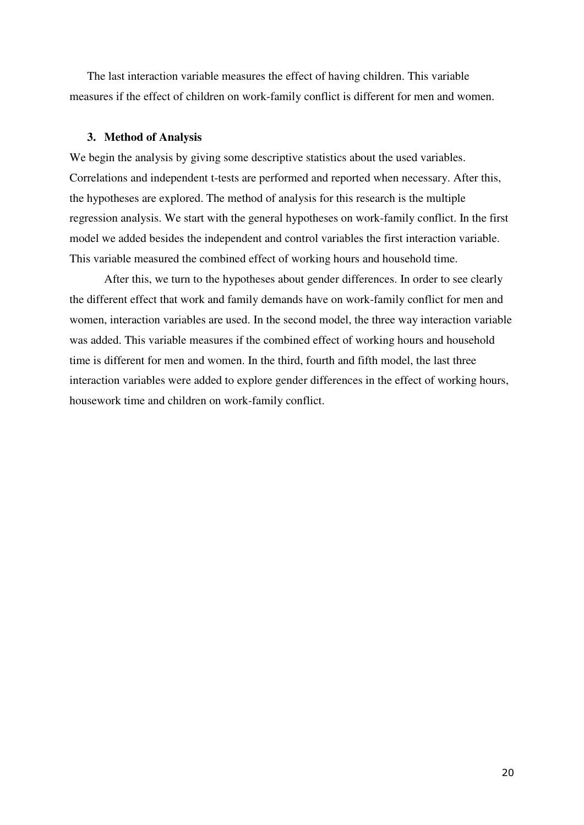The last interaction variable measures the effect of having children. This variable measures if the effect of children on work-family conflict is different for men and women.

## **3. Method of Analysis**

We begin the analysis by giving some descriptive statistics about the used variables. Correlations and independent t-tests are performed and reported when necessary. After this, the hypotheses are explored. The method of analysis for this research is the multiple regression analysis. We start with the general hypotheses on work-family conflict. In the first model we added besides the independent and control variables the first interaction variable. This variable measured the combined effect of working hours and household time.

After this, we turn to the hypotheses about gender differences. In order to see clearly the different effect that work and family demands have on work-family conflict for men and women, interaction variables are used. In the second model, the three way interaction variable was added. This variable measures if the combined effect of working hours and household time is different for men and women. In the third, fourth and fifth model, the last three interaction variables were added to explore gender differences in the effect of working hours, housework time and children on work-family conflict.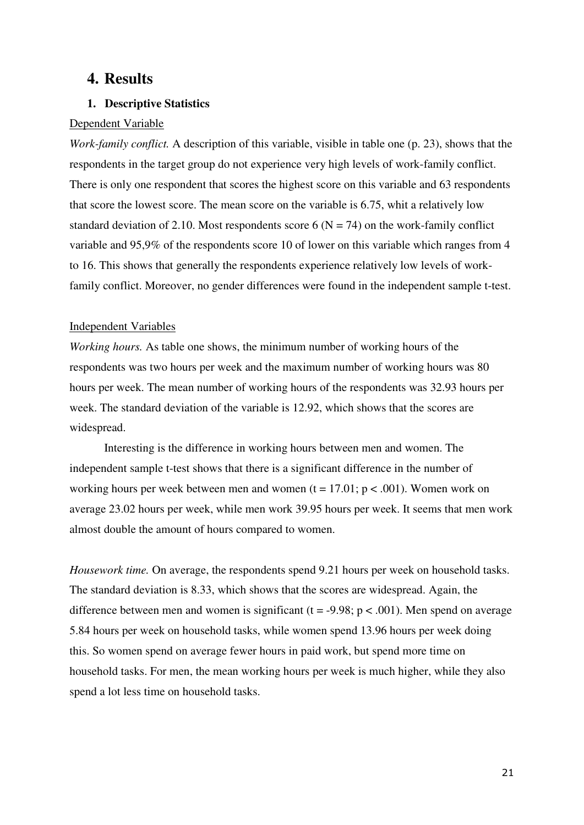# **4. Results**

# **1. Descriptive Statistics**

## Dependent Variable

*Work-family conflict.* A description of this variable, visible in table one (p. 23), shows that the respondents in the target group do not experience very high levels of work-family conflict. There is only one respondent that scores the highest score on this variable and 63 respondents that score the lowest score. The mean score on the variable is 6.75, whit a relatively low standard deviation of 2.10. Most respondents score 6 ( $N = 74$ ) on the work-family conflict variable and 95,9% of the respondents score 10 of lower on this variable which ranges from 4 to 16. This shows that generally the respondents experience relatively low levels of workfamily conflict. Moreover, no gender differences were found in the independent sample t-test.

## Independent Variables

*Working hours.* As table one shows, the minimum number of working hours of the respondents was two hours per week and the maximum number of working hours was 80 hours per week. The mean number of working hours of the respondents was 32.93 hours per week. The standard deviation of the variable is 12.92, which shows that the scores are widespread.

Interesting is the difference in working hours between men and women. The independent sample t-test shows that there is a significant difference in the number of working hours per week between men and women  $(t = 17.01; p < .001)$ . Women work on average 23.02 hours per week, while men work 39.95 hours per week. It seems that men work almost double the amount of hours compared to women.

*Housework time.* On average, the respondents spend 9.21 hours per week on household tasks. The standard deviation is 8.33, which shows that the scores are widespread. Again, the difference between men and women is significant ( $t = -9.98$ ;  $p < .001$ ). Men spend on average 5.84 hours per week on household tasks, while women spend 13.96 hours per week doing this. So women spend on average fewer hours in paid work, but spend more time on household tasks. For men, the mean working hours per week is much higher, while they also spend a lot less time on household tasks.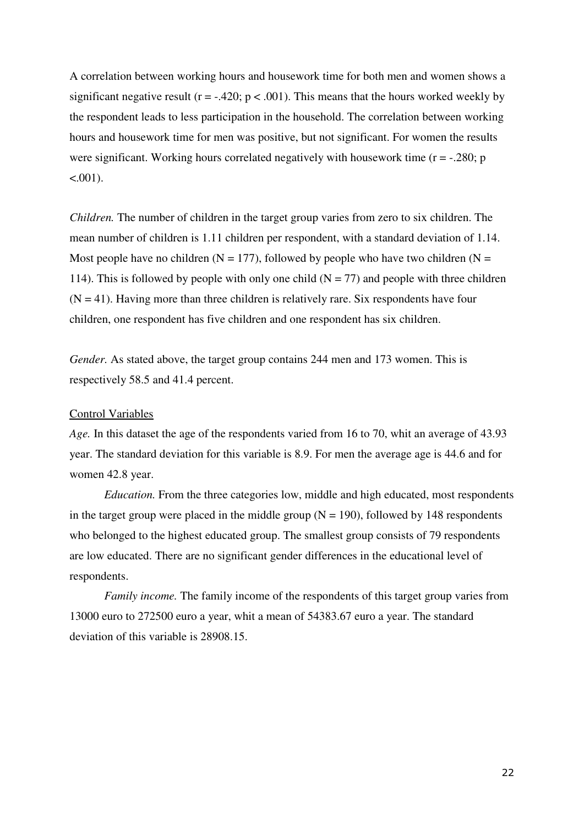A correlation between working hours and housework time for both men and women shows a significant negative result ( $r = -0.420$ ;  $p < 0.001$ ). This means that the hours worked weekly by the respondent leads to less participation in the household. The correlation between working hours and housework time for men was positive, but not significant. For women the results were significant. Working hours correlated negatively with housework time  $(r = -.280; p)$  $< 0.001$ ).

*Children.* The number of children in the target group varies from zero to six children. The mean number of children is 1.11 children per respondent, with a standard deviation of 1.14. Most people have no children ( $N = 177$ ), followed by people who have two children ( $N =$ 114). This is followed by people with only one child  $(N = 77)$  and people with three children  $(N = 41)$ . Having more than three children is relatively rare. Six respondents have four children, one respondent has five children and one respondent has six children.

*Gender.* As stated above, the target group contains 244 men and 173 women. This is respectively 58.5 and 41.4 percent.

#### Control Variables

*Age.* In this dataset the age of the respondents varied from 16 to 70, whit an average of 43.93 year. The standard deviation for this variable is 8.9. For men the average age is 44.6 and for women 42.8 year.

*Education.* From the three categories low, middle and high educated, most respondents in the target group were placed in the middle group  $(N = 190)$ , followed by 148 respondents who belonged to the highest educated group. The smallest group consists of 79 respondents are low educated. There are no significant gender differences in the educational level of respondents.

*Family income.* The family income of the respondents of this target group varies from 13000 euro to 272500 euro a year, whit a mean of 54383.67 euro a year. The standard deviation of this variable is 28908.15.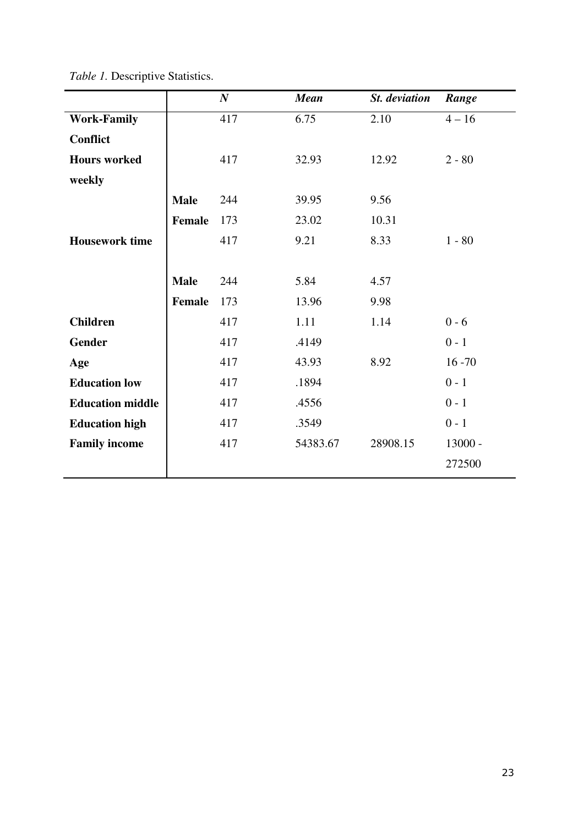|                         |               | $\boldsymbol{N}$ | <b>Mean</b> | St. deviation | Range     |
|-------------------------|---------------|------------------|-------------|---------------|-----------|
| <b>Work-Family</b>      |               | 417              | 6.75        | 2.10          | $4 - 16$  |
| <b>Conflict</b>         |               |                  |             |               |           |
| <b>Hours</b> worked     |               | 417              | 32.93       | 12.92         | $2 - 80$  |
| weekly                  |               |                  |             |               |           |
|                         | <b>Male</b>   | 244              | 39.95       | 9.56          |           |
|                         | <b>Female</b> | 173              | 23.02       | 10.31         |           |
| <b>Housework time</b>   |               | 417              | 9.21        | 8.33          | $1 - 80$  |
|                         |               |                  |             |               |           |
|                         | <b>Male</b>   | 244              | 5.84        | 4.57          |           |
|                         | <b>Female</b> | 173              | 13.96       | 9.98          |           |
| <b>Children</b>         |               | 417              | 1.11        | 1.14          | $0 - 6$   |
| <b>Gender</b>           |               | 417              | .4149       |               | $0 - 1$   |
| Age                     |               | 417              | 43.93       | 8.92          | $16 - 70$ |
| <b>Education low</b>    |               | 417              | .1894       |               | $0 - 1$   |
| <b>Education middle</b> |               | 417              | .4556       |               | $0 - 1$   |
| <b>Education high</b>   |               | 417              | .3549       |               | $0 - 1$   |
| <b>Family income</b>    |               | 417              | 54383.67    | 28908.15      | $13000 -$ |
|                         |               |                  |             |               | 272500    |

*Table 1.* Descriptive Statistics.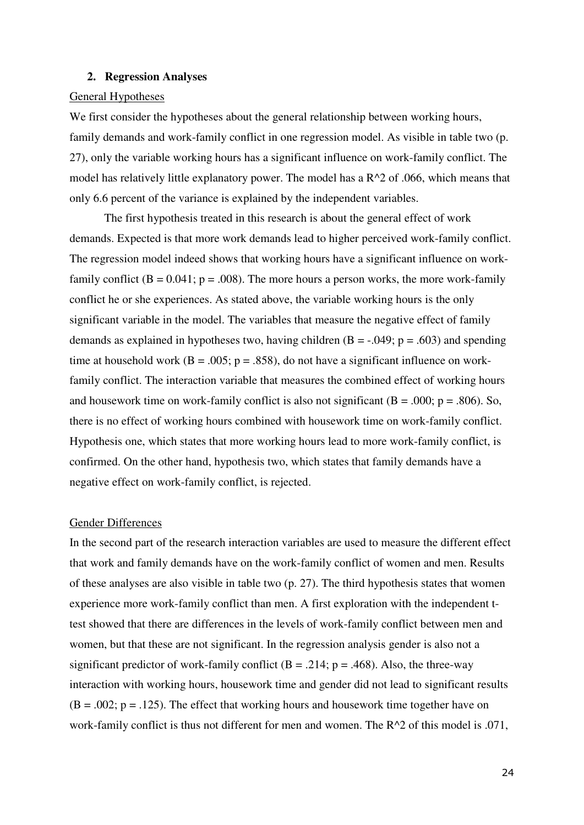#### **2. Regression Analyses**

#### General Hypotheses

We first consider the hypotheses about the general relationship between working hours, family demands and work-family conflict in one regression model. As visible in table two (p. 27), only the variable working hours has a significant influence on work-family conflict. The model has relatively little explanatory power. The model has a  $R^2$  of .066, which means that only 6.6 percent of the variance is explained by the independent variables.

 The first hypothesis treated in this research is about the general effect of work demands. Expected is that more work demands lead to higher perceived work-family conflict. The regression model indeed shows that working hours have a significant influence on workfamily conflict  $(B = 0.041; p = .008)$ . The more hours a person works, the more work-family conflict he or she experiences. As stated above, the variable working hours is the only significant variable in the model. The variables that measure the negative effect of family demands as explained in hypotheses two, having children  $(B = -0.049; p = 0.603)$  and spending time at household work ( $B = .005$ ;  $p = .858$ ), do not have a significant influence on workfamily conflict. The interaction variable that measures the combined effect of working hours and housework time on work-family conflict is also not significant  $(B = .000; p = .806)$ . So, there is no effect of working hours combined with housework time on work-family conflict. Hypothesis one, which states that more working hours lead to more work-family conflict, is confirmed. On the other hand, hypothesis two, which states that family demands have a negative effect on work-family conflict, is rejected.

#### Gender Differences

In the second part of the research interaction variables are used to measure the different effect that work and family demands have on the work-family conflict of women and men. Results of these analyses are also visible in table two (p. 27). The third hypothesis states that women experience more work-family conflict than men. A first exploration with the independent ttest showed that there are differences in the levels of work-family conflict between men and women, but that these are not significant. In the regression analysis gender is also not a significant predictor of work-family conflict ( $B = .214$ ;  $p = .468$ ). Also, the three-way interaction with working hours, housework time and gender did not lead to significant results  $(B = .002; p = .125)$ . The effect that working hours and housework time together have on work-family conflict is thus not different for men and women. The R^2 of this model is .071,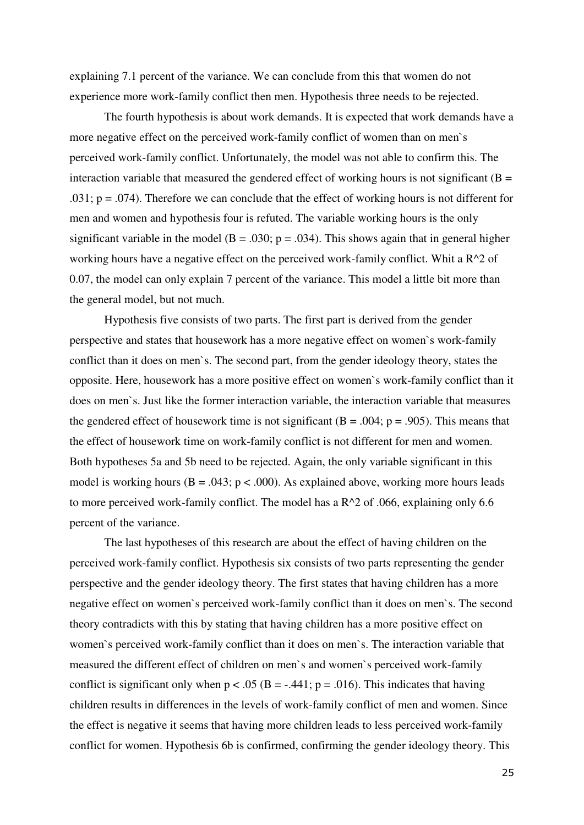explaining 7.1 percent of the variance. We can conclude from this that women do not experience more work-family conflict then men. Hypothesis three needs to be rejected.

The fourth hypothesis is about work demands. It is expected that work demands have a more negative effect on the perceived work-family conflict of women than on men`s perceived work-family conflict. Unfortunately, the model was not able to confirm this. The interaction variable that measured the gendered effect of working hours is not significant  $(B =$ .031;  $p = .074$ ). Therefore we can conclude that the effect of working hours is not different for men and women and hypothesis four is refuted. The variable working hours is the only significant variable in the model ( $B = .030$ ;  $p = .034$ ). This shows again that in general higher working hours have a negative effect on the perceived work-family conflict. Whit a R^2 of 0.07, the model can only explain 7 percent of the variance. This model a little bit more than the general model, but not much.

Hypothesis five consists of two parts. The first part is derived from the gender perspective and states that housework has a more negative effect on women`s work-family conflict than it does on men`s. The second part, from the gender ideology theory, states the opposite. Here, housework has a more positive effect on women`s work-family conflict than it does on men`s. Just like the former interaction variable, the interaction variable that measures the gendered effect of housework time is not significant ( $B = .004$ ;  $p = .905$ ). This means that the effect of housework time on work-family conflict is not different for men and women. Both hypotheses 5a and 5b need to be rejected. Again, the only variable significant in this model is working hours ( $B = .043$ ;  $p < .000$ ). As explained above, working more hours leads to more perceived work-family conflict. The model has a R^2 of .066, explaining only 6.6 percent of the variance.

 The last hypotheses of this research are about the effect of having children on the perceived work-family conflict. Hypothesis six consists of two parts representing the gender perspective and the gender ideology theory. The first states that having children has a more negative effect on women`s perceived work-family conflict than it does on men`s. The second theory contradicts with this by stating that having children has a more positive effect on women`s perceived work-family conflict than it does on men`s. The interaction variable that measured the different effect of children on men`s and women`s perceived work-family conflict is significant only when  $p < .05$  (B = -.441; p = .016). This indicates that having children results in differences in the levels of work-family conflict of men and women. Since the effect is negative it seems that having more children leads to less perceived work-family conflict for women. Hypothesis 6b is confirmed, confirming the gender ideology theory. This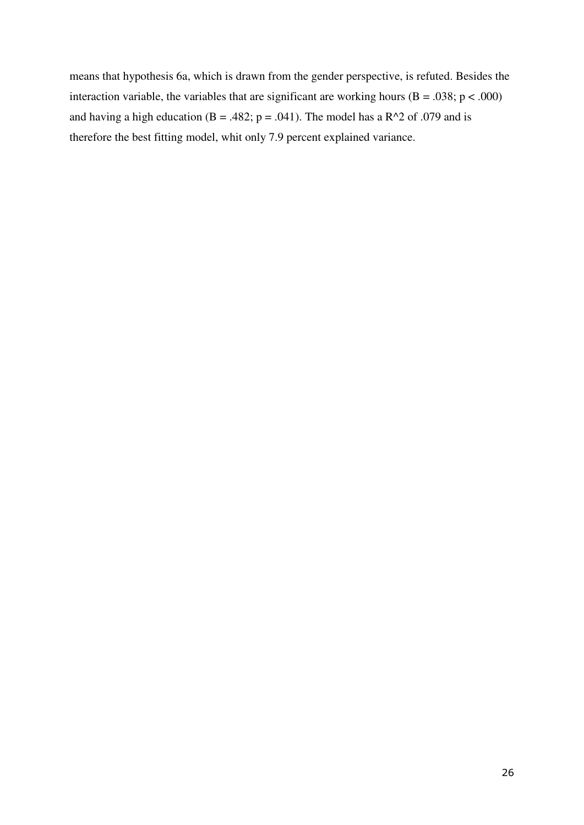means that hypothesis 6a, which is drawn from the gender perspective, is refuted. Besides the interaction variable, the variables that are significant are working hours  $(B = .038; p < .000)$ and having a high education (B = .482; p = .041). The model has a R^2 of .079 and is therefore the best fitting model, whit only 7.9 percent explained variance.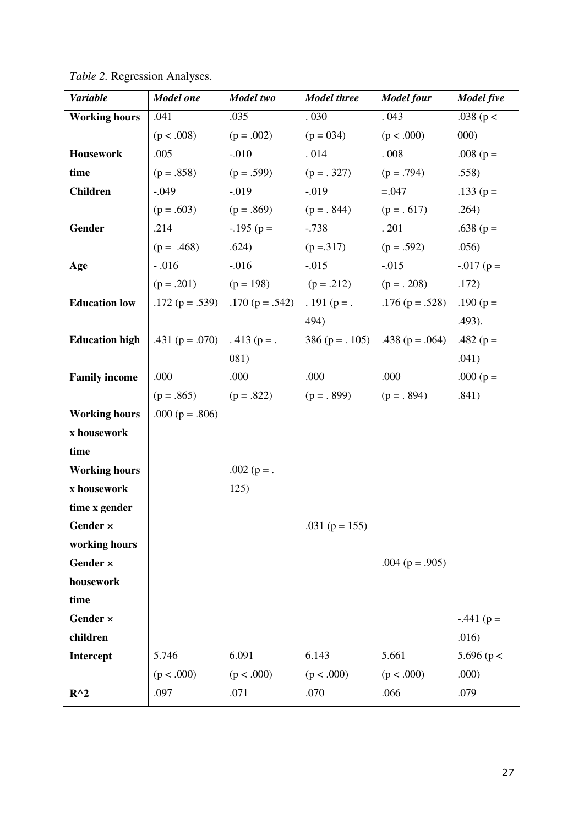| <b>Variable</b>       | <b>Model</b> one    | Model two                               | <b>Model three</b>                                  | <b>Model four</b>                                                     | <b>Model five</b> |
|-----------------------|---------------------|-----------------------------------------|-----------------------------------------------------|-----------------------------------------------------------------------|-------------------|
| <b>Working hours</b>  | .041                | .035                                    | $.030\,$                                            | .043                                                                  | .038 ( $p <$      |
|                       | (p < .008)          | $(p=.002)$                              | $(p = 034)$                                         | (p < .000)                                                            | 000)              |
| <b>Housework</b>      | .005                | $-.010$                                 | .014                                                | .008                                                                  | .008 ( $p =$      |
| time                  |                     | $(p=.858)$ $(p=.599)$                   | $(p = .327)$ $(p = .794)$                           |                                                                       | .558)             |
| <b>Children</b>       | $-.049$             | $-.019$                                 | $-.019$                                             | $=.047$                                                               | $.133(p=$         |
|                       |                     |                                         | $(p = .603)$ $(p = .869)$ $(p = .844)$ $(p = .617)$ |                                                                       | .264)             |
| <b>Gender</b>         | .214                | $-195$ (p =                             | $-.738$                                             | .201                                                                  | .638 ( $p =$      |
|                       | $(p = .468)$ .624)  |                                         | $(p = 317)$                                         | $(p=.592)$                                                            | .056)             |
| Age                   |                     |                                         |                                                     | -.016 -.016 -.015 -.015<br>(p = .201) (p = 198) (p = .212) (p = .208) | $-0.017$ (p =     |
|                       |                     |                                         |                                                     |                                                                       | .172)             |
| <b>Education low</b>  |                     | .172 ( $p = .539$ ) .170 ( $p = .542$ ) |                                                     | . 191 ( $p =$ . 176 ( $p = .528$ ) .190 ( $p =$                       |                   |
|                       |                     |                                         | 494)                                                |                                                                       | .493).            |
| <b>Education high</b> |                     | .431 ( $p = .070$ ) .413 ( $p = .$      |                                                     | 386 ( $p = .105$ ) .438 ( $p = .064$ )                                | .482 ( $p =$      |
|                       |                     | 081)                                    |                                                     |                                                                       | .041)             |
| <b>Family income</b>  | .000                | .000                                    | .000                                                | .000                                                                  | .000 ( $p =$      |
|                       |                     |                                         | $(p = .865)$ $(p = .822)$ $(p = .899)$              | $(p = . 894)$                                                         | .841)             |
| <b>Working hours</b>  | .000 ( $p = .806$ ) |                                         |                                                     |                                                                       |                   |
| x housework           |                     |                                         |                                                     |                                                                       |                   |
| time                  |                     |                                         |                                                     |                                                                       |                   |
| <b>Working hours</b>  |                     | $.002$ (p = .                           |                                                     |                                                                       |                   |
| x housework           |                     | 125)                                    |                                                     |                                                                       |                   |
| time x gender         |                     |                                         |                                                     |                                                                       |                   |
| Gender $\times$       |                     |                                         | .031 ( $p = 155$ )                                  |                                                                       |                   |
| working hours         |                     |                                         |                                                     |                                                                       |                   |
| Gender ×              |                     |                                         |                                                     | .004 ( $p = .905$ )                                                   |                   |
| housework             |                     |                                         |                                                     |                                                                       |                   |
| time                  |                     |                                         |                                                     |                                                                       |                   |
| Gender ×              |                     |                                         |                                                     |                                                                       | $-.441$ (p =      |
| children              |                     |                                         |                                                     |                                                                       | .016)             |
| Intercept             | 5.746               | 6.091                                   | 6.143                                               | 5.661                                                                 | 5.696 ( $p <$     |
|                       | (p < .000)          | (p < .000)                              | (p < .000)                                          | (p < .000)                                                            | .000)             |
| $R^{\wedge}2$         | .097                | .071                                    | .070                                                | .066                                                                  | .079              |

*Table 2.* Regression Analyses.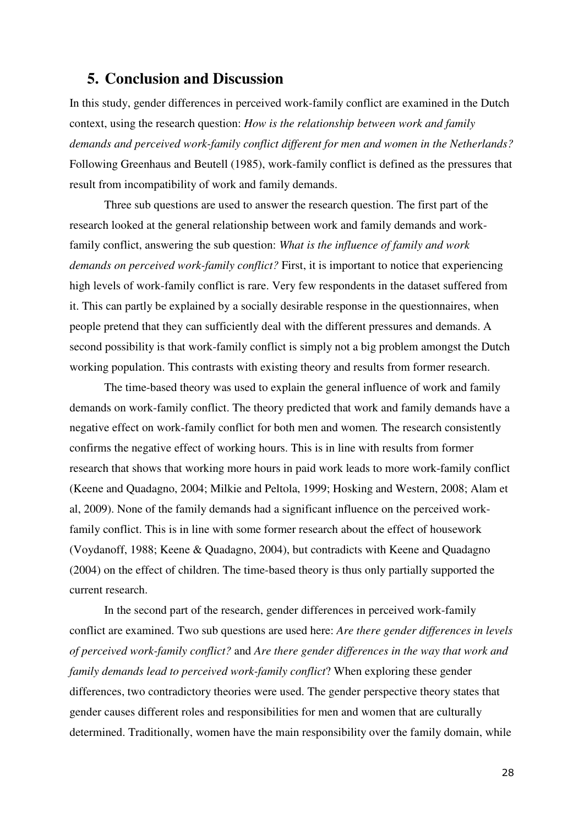# **5. Conclusion and Discussion**

In this study, gender differences in perceived work-family conflict are examined in the Dutch context, using the research question: *How is the relationship between work and family demands and perceived work-family conflict different for men and women in the Netherlands?*  Following Greenhaus and Beutell (1985), work-family conflict is defined as the pressures that result from incompatibility of work and family demands.

Three sub questions are used to answer the research question. The first part of the research looked at the general relationship between work and family demands and workfamily conflict, answering the sub question: *What is the influence of family and work demands on perceived work-family conflict?* First, it is important to notice that experiencing high levels of work-family conflict is rare. Very few respondents in the dataset suffered from it. This can partly be explained by a socially desirable response in the questionnaires, when people pretend that they can sufficiently deal with the different pressures and demands. A second possibility is that work-family conflict is simply not a big problem amongst the Dutch working population. This contrasts with existing theory and results from former research.

The time-based theory was used to explain the general influence of work and family demands on work-family conflict. The theory predicted that work and family demands have a negative effect on work-family conflict for both men and women*.* The research consistently confirms the negative effect of working hours. This is in line with results from former research that shows that working more hours in paid work leads to more work-family conflict (Keene and Quadagno, 2004; Milkie and Peltola, 1999; Hosking and Western, 2008; Alam et al, 2009). None of the family demands had a significant influence on the perceived workfamily conflict. This is in line with some former research about the effect of housework (Voydanoff, 1988; Keene & Quadagno, 2004), but contradicts with Keene and Quadagno (2004) on the effect of children. The time-based theory is thus only partially supported the current research.

In the second part of the research, gender differences in perceived work-family conflict are examined. Two sub questions are used here: *Are there gender differences in levels of perceived work-family conflict?* and *Are there gender differences in the way that work and family demands lead to perceived work-family conflict*? When exploring these gender differences, two contradictory theories were used. The gender perspective theory states that gender causes different roles and responsibilities for men and women that are culturally determined. Traditionally, women have the main responsibility over the family domain, while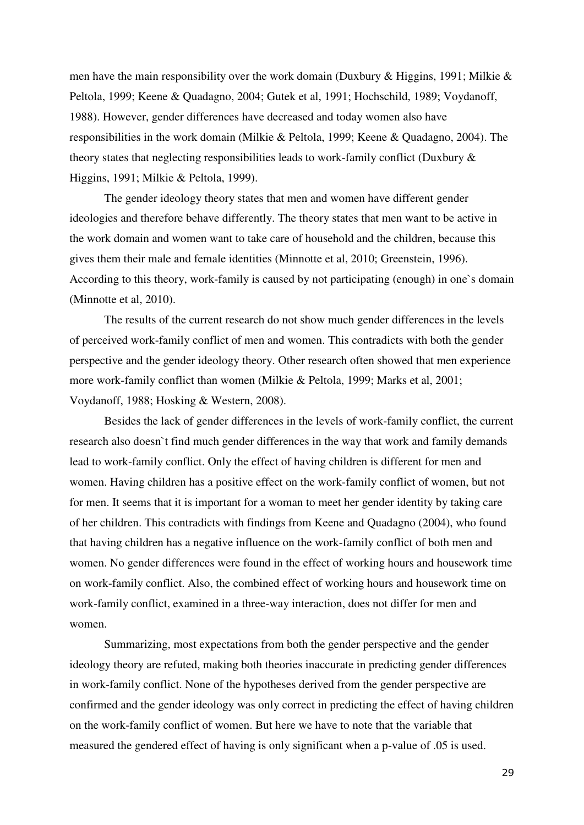men have the main responsibility over the work domain (Duxbury & Higgins, 1991; Milkie & Peltola, 1999; Keene & Quadagno, 2004; Gutek et al, 1991; Hochschild, 1989; Voydanoff, 1988). However, gender differences have decreased and today women also have responsibilities in the work domain (Milkie & Peltola, 1999; Keene & Quadagno, 2004). The theory states that neglecting responsibilities leads to work-family conflict (Duxbury & Higgins, 1991; Milkie & Peltola, 1999).

The gender ideology theory states that men and women have different gender ideologies and therefore behave differently. The theory states that men want to be active in the work domain and women want to take care of household and the children, because this gives them their male and female identities (Minnotte et al, 2010; Greenstein, 1996). According to this theory, work-family is caused by not participating (enough) in one`s domain (Minnotte et al, 2010).

 The results of the current research do not show much gender differences in the levels of perceived work-family conflict of men and women. This contradicts with both the gender perspective and the gender ideology theory. Other research often showed that men experience more work-family conflict than women (Milkie & Peltola, 1999; Marks et al, 2001; Voydanoff, 1988; Hosking & Western, 2008).

Besides the lack of gender differences in the levels of work-family conflict, the current research also doesn`t find much gender differences in the way that work and family demands lead to work-family conflict. Only the effect of having children is different for men and women. Having children has a positive effect on the work-family conflict of women, but not for men. It seems that it is important for a woman to meet her gender identity by taking care of her children. This contradicts with findings from Keene and Quadagno (2004), who found that having children has a negative influence on the work-family conflict of both men and women. No gender differences were found in the effect of working hours and housework time on work-family conflict. Also, the combined effect of working hours and housework time on work-family conflict, examined in a three-way interaction, does not differ for men and women.

Summarizing, most expectations from both the gender perspective and the gender ideology theory are refuted, making both theories inaccurate in predicting gender differences in work-family conflict. None of the hypotheses derived from the gender perspective are confirmed and the gender ideology was only correct in predicting the effect of having children on the work-family conflict of women. But here we have to note that the variable that measured the gendered effect of having is only significant when a p-value of .05 is used.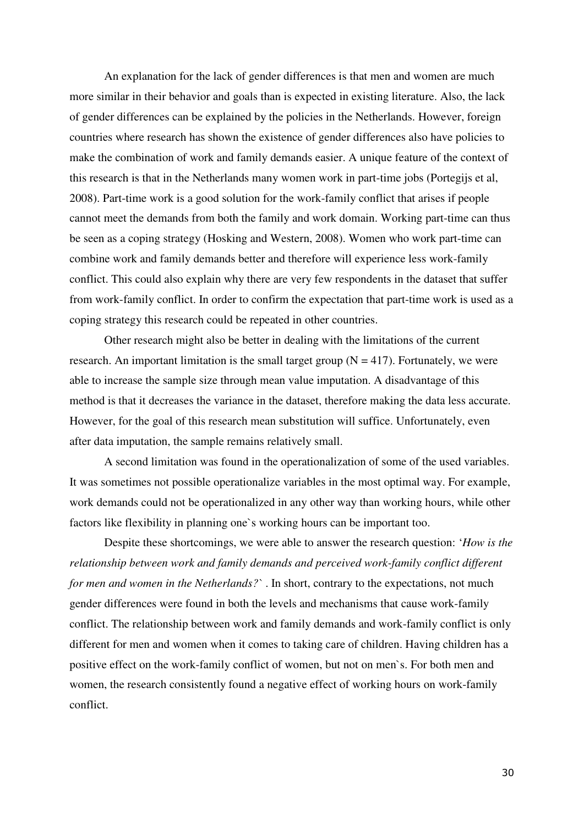An explanation for the lack of gender differences is that men and women are much more similar in their behavior and goals than is expected in existing literature. Also, the lack of gender differences can be explained by the policies in the Netherlands. However, foreign countries where research has shown the existence of gender differences also have policies to make the combination of work and family demands easier. A unique feature of the context of this research is that in the Netherlands many women work in part-time jobs (Portegijs et al, 2008). Part-time work is a good solution for the work-family conflict that arises if people cannot meet the demands from both the family and work domain. Working part-time can thus be seen as a coping strategy (Hosking and Western, 2008). Women who work part-time can combine work and family demands better and therefore will experience less work-family conflict. This could also explain why there are very few respondents in the dataset that suffer from work-family conflict. In order to confirm the expectation that part-time work is used as a coping strategy this research could be repeated in other countries.

Other research might also be better in dealing with the limitations of the current research. An important limitation is the small target group  $(N = 417)$ . Fortunately, we were able to increase the sample size through mean value imputation. A disadvantage of this method is that it decreases the variance in the dataset, therefore making the data less accurate. However, for the goal of this research mean substitution will suffice. Unfortunately, even after data imputation, the sample remains relatively small.

A second limitation was found in the operationalization of some of the used variables. It was sometimes not possible operationalize variables in the most optimal way. For example, work demands could not be operationalized in any other way than working hours, while other factors like flexibility in planning one`s working hours can be important too.

 Despite these shortcomings, we were able to answer the research question: '*How is the relationship between work and family demands and perceived work-family conflict different for men and women in the Netherlands?`* . In short, contrary to the expectations, not much gender differences were found in both the levels and mechanisms that cause work-family conflict. The relationship between work and family demands and work-family conflict is only different for men and women when it comes to taking care of children. Having children has a positive effect on the work-family conflict of women, but not on men`s. For both men and women, the research consistently found a negative effect of working hours on work-family conflict.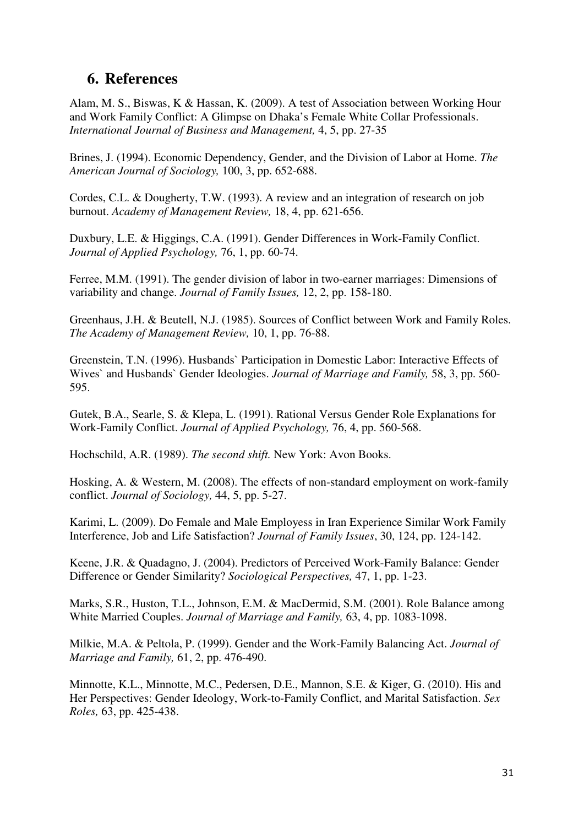# **6. References**

Alam, M. S., Biswas, K & Hassan, K. (2009). A test of Association between Working Hour and Work Family Conflict: A Glimpse on Dhaka's Female White Collar Professionals. *International Journal of Business and Management,* 4, 5, pp. 27-35

Brines, J. (1994). Economic Dependency, Gender, and the Division of Labor at Home. *The American Journal of Sociology,* 100, 3, pp. 652-688.

Cordes, C.L. & Dougherty, T.W. (1993). A review and an integration of research on job burnout. *Academy of Management Review,* 18, 4, pp. 621-656.

Duxbury, L.E. & Higgings, C.A. (1991). Gender Differences in Work-Family Conflict. *Journal of Applied Psychology,* 76, 1, pp. 60-74.

Ferree, M.M. (1991). The gender division of labor in two-earner marriages: Dimensions of variability and change. *Journal of Family Issues,* 12, 2, pp. 158-180.

Greenhaus, J.H. & Beutell, N.J. (1985). Sources of Conflict between Work and Family Roles. *The Academy of Management Review,* 10, 1, pp. 76-88.

Greenstein, T.N. (1996). Husbands` Participation in Domestic Labor: Interactive Effects of Wives` and Husbands` Gender Ideologies. *Journal of Marriage and Family,* 58, 3, pp. 560- 595.

Gutek, B.A., Searle, S. & Klepa, L. (1991). Rational Versus Gender Role Explanations for Work-Family Conflict. *Journal of Applied Psychology,* 76, 4, pp. 560-568.

Hochschild, A.R. (1989). *The second shift.* New York: Avon Books.

Hosking, A. & Western, M. (2008). The effects of non-standard employment on work-family conflict. *Journal of Sociology,* 44, 5, pp. 5-27.

Karimi, L. (2009). Do Female and Male Employess in Iran Experience Similar Work Family Interference, Job and Life Satisfaction? *Journal of Family Issues*, 30, 124, pp. 124-142.

Keene, J.R. & Quadagno, J. (2004). Predictors of Perceived Work-Family Balance: Gender Difference or Gender Similarity? *Sociological Perspectives,* 47, 1, pp. 1-23.

Marks, S.R., Huston, T.L., Johnson, E.M. & MacDermid, S.M. (2001). Role Balance among White Married Couples. *Journal of Marriage and Family,* 63, 4, pp. 1083-1098.

Milkie, M.A. & Peltola, P. (1999). Gender and the Work-Family Balancing Act. *Journal of Marriage and Family,* 61, 2, pp. 476-490.

Minnotte, K.L., Minnotte, M.C., Pedersen, D.E., Mannon, S.E. & Kiger, G. (2010). His and Her Perspectives: Gender Ideology, Work-to-Family Conflict, and Marital Satisfaction. *Sex Roles,* 63, pp. 425-438.